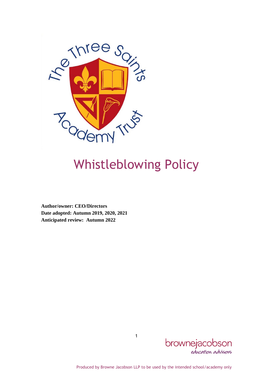

# Whistleblowing Policy

**Author/owner: CEO/Directors Date adopted: Autumn 2019, 2020, 2021 Anticipated review: Autumn 2022**



Produced by Browne Jacobson LLP to be used by the intended school/academy only

1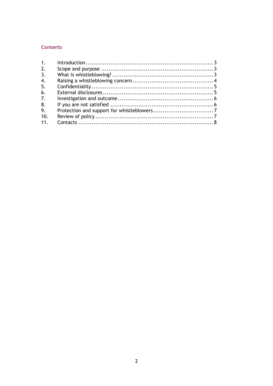## **Contents**

| 1 <sub>1</sub>   |  |
|------------------|--|
| 2.               |  |
| 3.               |  |
| $\overline{4}$ . |  |
| 5.               |  |
| 6.               |  |
| 7.               |  |
| 8.               |  |
| 9.               |  |
| 10.              |  |
| 11.              |  |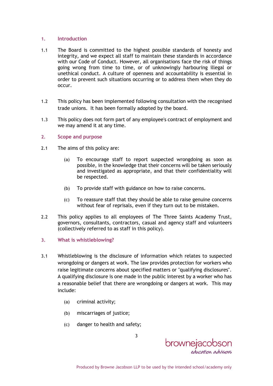#### <span id="page-2-0"></span>**1. Introduction**

- 1.1 The Board is committed to the highest possible standards of honesty and integrity, and we expect all staff to maintain these standards in accordance with our Code of Conduct. However, all organisations face the risk of things going wrong from time to time, or of unknowingly harbouring illegal or unethical conduct. A culture of openness and accountability is essential in order to prevent such situations occurring or to address them when they do occur.
- 1.2 This policy has been implemented following consultation with the recognised trade unions. It has been formally adopted by the board.
- 1.3 This policy does not form part of any employee's contract of employment and we may amend it at any time.

#### <span id="page-2-1"></span>**2. Scope and purpose**

- 2.1 The aims of this policy are:
	- (a) To encourage staff to report suspected wrongdoing as soon as possible, in the knowledge that their concerns will be taken seriously and investigated as appropriate, and that their confidentiality will be respected.
	- (b) To provide staff with guidance on how to raise concerns.
	- (c) To reassure staff that they should be able to raise genuine concerns without fear of reprisals, even if they turn out to be mistaken.
- 2.2 This policy applies to all employees of The Three Saints Academy Trust, governors, consultants, contractors, casual and agency staff and volunteers (collectively referred to as staff in this policy).
- <span id="page-2-2"></span>**3. What is whistleblowing?**
- 3.1 Whistleblowing is the disclosure of information which relates to suspected wrongdoing or dangers at work. The law provides protection for workers who raise legitimate concerns about specified matters or "qualifying disclosures". A qualifying disclosure is one made in the public interest by a worker who has a reasonable belief that there are wrongdoing or dangers at work. This may include:

3

- (a) criminal activity;
- (b) miscarriages of justice;
- (c) danger to health and safety;

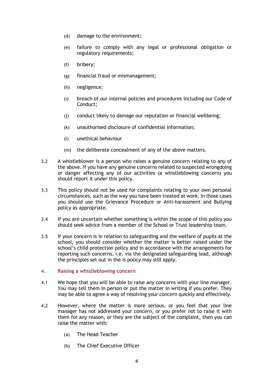- (d) damage to the environment;
- (e) failure to comply with any legal or professional obligation or regulatory requirements;
- (f) bribery;
- (g) financial fraud or mismanagement;
- (h) negligence;
- (i) breach of our internal policies and procedures including our Code of Conduct;
- (j) conduct likely to damage our reputation or financial wellbeing;
- (k) unauthorised disclosure of confidential information;
- (l) unethical behaviour
- (m) the deliberate concealment of any of the above matters.
- 3.2 A whistleblower is a person who raises a genuine concern relating to any of the above. If you have any genuine concerns related to suspected wrongdoing or danger affecting any of our activities (a whistleblowing concern) you should report it under this policy.
- 3.3 This policy should not be used for complaints relating to your own personal circumstances, such as the way you have been treated at work. In those cases you should use the Grievance Procedure or Anti-harassment and Bullying policy as appropriate.
- 3.4 If you are uncertain whether something is within the scope of this policy you should seek advice from a member of the School or Trust leadership team.
- 3.5 If your concern is in relation to safeguarding and the welfare of pupils at the school, you should consider whether the matter is better raised under the school's child protection policy and in accordance with the arrangements for reporting such concerns, i.e. via the designated safeguarding lead, although the principles set out in the is policy may still apply.
- <span id="page-3-0"></span>**4. Raising a whistleblowing concern**
- 4.1 We hope that you will be able to raise any concerns with your line manager. You may tell them in person or put the matter in writing if you prefer. They may be able to agree a way of resolving your concern quickly and effectively.
- 4.2 However, where the matter is more serious, or you feel that your line manager has not addressed your concern, or you prefer not to raise it with them for any reason, or they are the subject of the complaint, then you can raise the matter with:
	- (a) The Head Teacher
	- (b) The Chief Executive Officer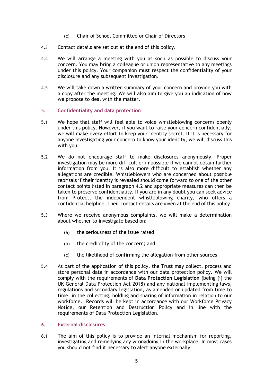- (c) Chair of School Committee or Chair of Directors
- 4.3 Contact details are set out at the end of this policy.
- 4.4 We will arrange a meeting with you as soon as possible to discuss your concern. You may bring a colleague or union representative to any meetings under this policy. Your companion must respect the confidentiality of your disclosure and any subsequent investigation.
- 4.5 We will take down a written summary of your concern and provide you with a copy after the meeting. We will also aim to give you an indication of how we propose to deal with the matter.
- <span id="page-4-0"></span>**5. Confidentiality and data protection**
- 5.1 We hope that staff will feel able to voice whistleblowing concerns openly under this policy. However, if you want to raise your concern confidentially, we will make every effort to keep your identity secret. If it is necessary for anyone investigating your concern to know your identity, we will discuss this with you.
- 5.2 We do not encourage staff to make disclosures anonymously. Proper investigation may be more difficult or impossible if we cannot obtain further information from you. It is also more difficult to establish whether any allegations are credible. Whistleblowers who are concerned about possible reprisals if their identity is revealed should come forward to one of the other contact points listed in paragraph 4.2 and appropriate measures can then be taken to preserve confidentiality. If you are in any doubt you can seek advice from Protect, the independent whistleblowing charity, who offers a confidential helpline. Their contact details are given at the end of this policy.
- 5.3 Where we receive anonymous complaints, we will make a determination about whether to investigate based on:
	- (a) the seriousness of the issue raised
	- (b) the credibility of the concern; and
	- (c) the likelihood of confirming the allegation from other sources
- 5.4 As part of the application of this policy, the Trust may collect, process and store personal data in accordance with our data protection policy. We will comply with the requirements of **Data Protection Legislation** (being (i) the UK General Data Protection Act 2018) and any national implementing laws, regulations and secondary legislation, as amended or updated from time to time, in the collecting, holding and sharing of information in relation to our workforce. Records will be kept in accordance with our Workforce Privacy Notice, our Retention and Destruction Policy and in line with the requirements of Data Protection Legislation.

#### <span id="page-4-1"></span>**6. External disclosures**

6.1 The aim of this policy is to provide an internal mechanism for reporting, investigating and remedying any wrongdoing in the workplace. In most cases you should not find it necessary to alert anyone externally.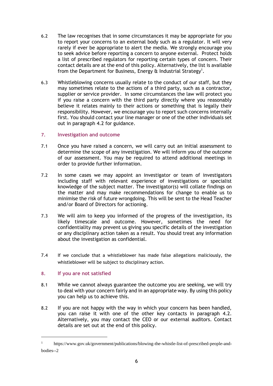- 6.2 The law recognises that in some circumstances it may be appropriate for you to report your concerns to an external body such as a regulator. It will very rarely if ever be appropriate to alert the media. We strongly encourage you to seek advice before reporting a concern to anyone external. Protect holds a list of prescribed regulators for reporting certain types of concern. Their contact details are at the end of this policy. Alternatively, the list is available from the Department for Business, Energy  $\alpha$  Industrial Strategy<sup>1</sup>.
- 6.3 Whistleblowing concerns usually relate to the conduct of our staff, but they may sometimes relate to the actions of a third party, such as a contractor, supplier or service provider. In some circumstances the law will protect you if you raise a concern with the third party directly where you reasonably believe it relates mainly to their actions or something that is legally their responsibility. However, we encourage you to report such concerns internally first. You should contact your line manager or one of the other individuals set out in paragraph 4.2 for guidance.

## <span id="page-5-0"></span>**7. Investigation and outcome**

- 7.1 Once you have raised a concern, we will carry out an initial assessment to determine the scope of any investigation. We will inform you of the outcome of our assessment. You may be required to attend additional meetings in order to provide further information.
- 7.2 In some cases we may appoint an investigator or team of investigators including staff with relevant experience of investigations or specialist knowledge of the subject matter. The investigator(s) will collate findings on the matter and may make recommendations for change to enable us to minimise the risk of future wrongdoing. This will be sent to the Head Teacher and/or Board of Directors for actioning.
- 7.3 We will aim to keep you informed of the progress of the investigation, its likely timescale and outcome. However, sometimes the need for confidentiality may prevent us giving you specific details of the investigation or any disciplinary action taken as a result. You should treat any information about the investigation as confidential.
- 7.4 If we conclude that a whistleblower has made false allegations maliciously, the whistleblower will be subject to disciplinary action.

### <span id="page-5-1"></span>**8. If you are not satisfied**

- 8.1 While we cannot always guarantee the outcome you are seeking, we will try to deal with your concern fairly and in an appropriate way. By using this policy you can help us to achieve this.
- 8.2 If you are not happy with the way in which your concern has been handled, you can raise it with one of the other key contacts in paragraph 4.2. Alternatively, you may contact the CEO or our external auditors. Contact details are set out at the end of this policy.

<sup>&</sup>lt;sup>1</sup> https://www.gov.uk/government/publications/blowing-the-whistle-list-of-prescribed-people-andbodies--2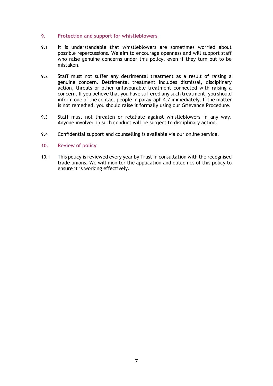#### <span id="page-6-0"></span>**9. Protection and support for whistleblowers**

- 9.1 It is understandable that whistleblowers are sometimes worried about possible repercussions. We aim to encourage openness and will support staff who raise genuine concerns under this policy, even if they turn out to be mistaken.
- 9.2 Staff must not suffer any detrimental treatment as a result of raising a genuine concern. Detrimental treatment includes dismissal, disciplinary action, threats or other unfavourable treatment connected with raising a concern. If you believe that you have suffered any such treatment, you should inform one of the contact people in paragraph 4.2 immediately. If the matter is not remedied, you should raise it formally using our Grievance Procedure.
- 9.3 Staff must not threaten or retaliate against whistleblowers in any way. Anyone involved in such conduct will be subject to disciplinary action.
- 9.4 Confidential support and counselling is available via our online service.
- <span id="page-6-1"></span>**10. Review of policy**
- 10.1 This policy is reviewed every year by Trust in consultation with the recognised trade unions. We will monitor the application and outcomes of this policy to ensure it is working effectively.